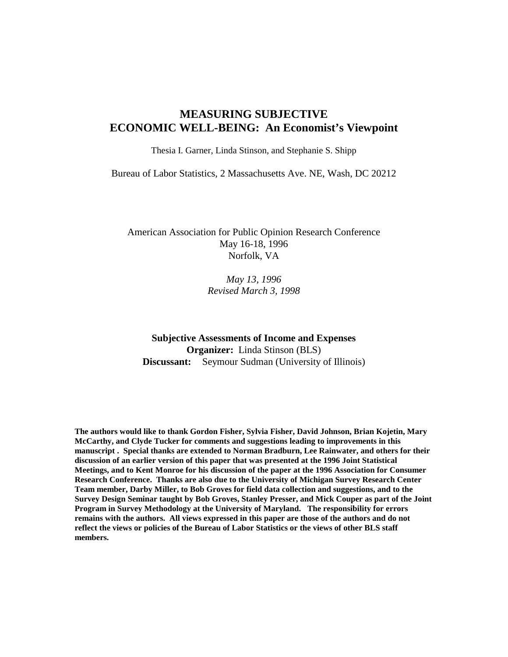# **MEASURING SUBJECTIVE ECONOMIC WELL-BEING: An Economist's Viewpoint**

Thesia I. Garner, Linda Stinson, and Stephanie S. Shipp

Bureau of Labor Statistics, 2 Massachusetts Ave. NE, Wash, DC 20212

American Association for Public Opinion Research Conference May 16-18, 1996 Norfolk, VA

> *May 13, 1996 Revised March 3, 1998*

**Subjective Assessments of Income and Expenses Organizer:** Linda Stinson (BLS) **Discussant:** Seymour Sudman (University of Illinois)

**The authors would like to thank Gordon Fisher, Sylvia Fisher, David Johnson, Brian Kojetin, Mary McCarthy, and Clyde Tucker for comments and suggestions leading to improvements in this manuscript . Special thanks are extended to Norman Bradburn, Lee Rainwater, and others for their discussion of an earlier version of this paper that was presented at the 1996 Joint Statistical Meetings, and to Kent Monroe for his discussion of the paper at the 1996 Association for Consumer Research Conference. Thanks are also due to the University of Michigan Survey Research Center Team member, Darby Miller, to Bob Groves for field data collection and suggestions, and to the Survey Design Seminar taught by Bob Groves, Stanley Presser, and Mick Couper as part of the Joint Program in Survey Methodology at the University of Maryland. The responsibility for errors remains with the authors. All views expressed in this paper are those of the authors and do not reflect the views or policies of the Bureau of Labor Statistics or the views of other BLS staff members.**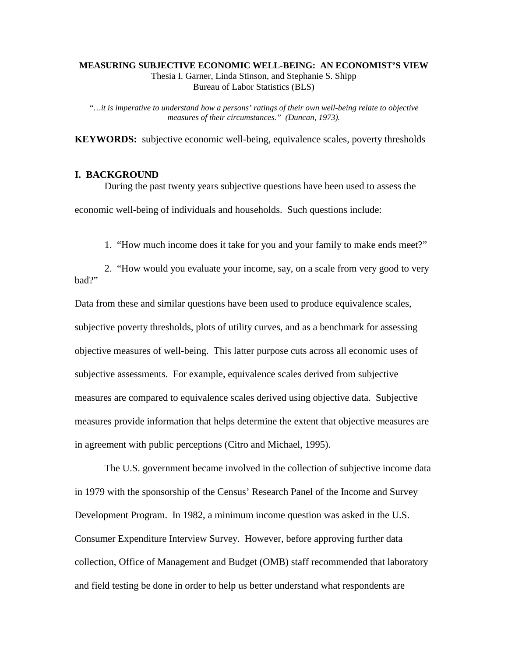#### **MEASURING SUBJECTIVE ECONOMIC WELL-BEING: AN ECONOMIST'S VIEW** Thesia I. Garner, Linda Stinson, and Stephanie S. Shipp Bureau of Labor Statistics (BLS)

*"…it is imperative to understand how a persons' ratings of their own well-being relate to objective measures of their circumstances." (Duncan, 1973).*

**KEYWORDS:** subjective economic well-being, equivalence scales, poverty thresholds

### **I. BACKGROUND**

During the past twenty years subjective questions have been used to assess the economic well-being of individuals and households. Such questions include:

1. "How much income does it take for you and your family to make ends meet?"

2. "How would you evaluate your income, say, on a scale from very good to very bad?"

Data from these and similar questions have been used to produce equivalence scales, subjective poverty thresholds, plots of utility curves, and as a benchmark for assessing objective measures of well-being. This latter purpose cuts across all economic uses of subjective assessments. For example, equivalence scales derived from subjective measures are compared to equivalence scales derived using objective data. Subjective measures provide information that helps determine the extent that objective measures are in agreement with public perceptions (Citro and Michael, 1995).

The U.S. government became involved in the collection of subjective income data in 1979 with the sponsorship of the Census' Research Panel of the Income and Survey Development Program. In 1982, a minimum income question was asked in the U.S. Consumer Expenditure Interview Survey. However, before approving further data collection, Office of Management and Budget (OMB) staff recommended that laboratory and field testing be done in order to help us better understand what respondents are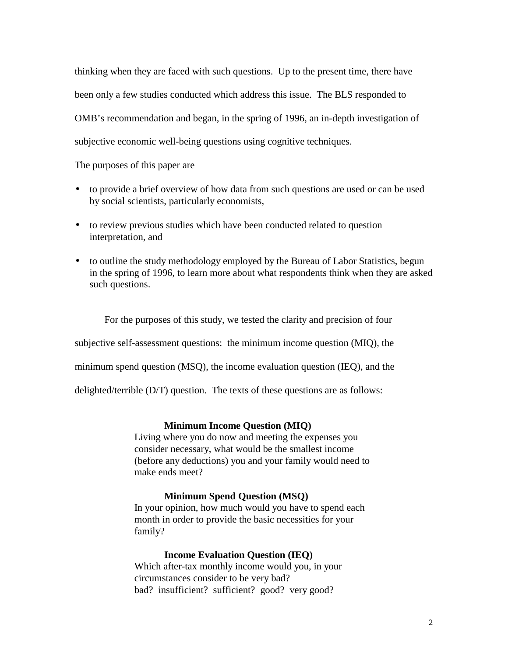thinking when they are faced with such questions. Up to the present time, there have been only a few studies conducted which address this issue. The BLS responded to OMB's recommendation and began, in the spring of 1996, an in-depth investigation of subjective economic well-being questions using cognitive techniques.

The purposes of this paper are

- to provide a brief overview of how data from such questions are used or can be used by social scientists, particularly economists,
- to review previous studies which have been conducted related to question interpretation, and
- to outline the study methodology employed by the Bureau of Labor Statistics, begun in the spring of 1996, to learn more about what respondents think when they are asked such questions.

For the purposes of this study, we tested the clarity and precision of four subjective self-assessment questions: the minimum income question (MIQ), the minimum spend question (MSQ), the income evaluation question (IEQ), and the delighted/terrible (D/T) question. The texts of these questions are as follows:

## **Minimum Income Question (MIQ)**

Living where you do now and meeting the expenses you consider necessary, what would be the smallest income (before any deductions) you and your family would need to make ends meet?

## **Minimum Spend Question (MSQ)**

In your opinion, how much would you have to spend each month in order to provide the basic necessities for your family?

## **Income Evaluation Question (IEQ)**

Which after-tax monthly income would you, in your circumstances consider to be very bad? bad? insufficient? sufficient? good? very good?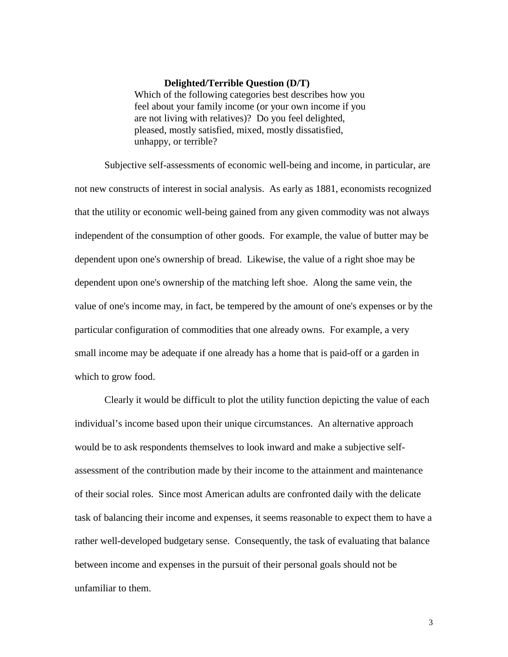#### **Delighted/Terrible Question (D/T)**

Which of the following categories best describes how you feel about your family income (or your own income if you are not living with relatives)? Do you feel delighted, pleased, mostly satisfied, mixed, mostly dissatisfied, unhappy, or terrible?

Subjective self-assessments of economic well-being and income, in particular, are not new constructs of interest in social analysis. As early as 1881, economists recognized that the utility or economic well-being gained from any given commodity was not always independent of the consumption of other goods. For example, the value of butter may be dependent upon one's ownership of bread. Likewise, the value of a right shoe may be dependent upon one's ownership of the matching left shoe. Along the same vein, the value of one's income may, in fact, be tempered by the amount of one's expenses or by the particular configuration of commodities that one already owns. For example, a very small income may be adequate if one already has a home that is paid-off or a garden in which to grow food.

Clearly it would be difficult to plot the utility function depicting the value of each individual's income based upon their unique circumstances. An alternative approach would be to ask respondents themselves to look inward and make a subjective selfassessment of the contribution made by their income to the attainment and maintenance of their social roles. Since most American adults are confronted daily with the delicate task of balancing their income and expenses, it seems reasonable to expect them to have a rather well-developed budgetary sense. Consequently, the task of evaluating that balance between income and expenses in the pursuit of their personal goals should not be unfamiliar to them.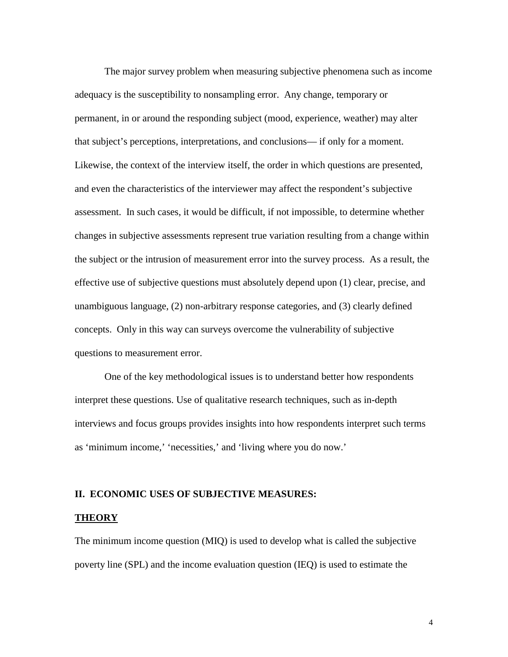The major survey problem when measuring subjective phenomena such as income adequacy is the susceptibility to nonsampling error. Any change, temporary or permanent, in or around the responding subject (mood, experience, weather) may alter that subject's perceptions, interpretations, and conclusions— if only for a moment. Likewise, the context of the interview itself, the order in which questions are presented, and even the characteristics of the interviewer may affect the respondent's subjective assessment. In such cases, it would be difficult, if not impossible, to determine whether changes in subjective assessments represent true variation resulting from a change within the subject or the intrusion of measurement error into the survey process. As a result, the effective use of subjective questions must absolutely depend upon (1) clear, precise, and unambiguous language, (2) non-arbitrary response categories, and (3) clearly defined concepts. Only in this way can surveys overcome the vulnerability of subjective questions to measurement error.

One of the key methodological issues is to understand better how respondents interpret these questions. Use of qualitative research techniques, such as in-depth interviews and focus groups provides insights into how respondents interpret such terms as 'minimum income,' 'necessities,' and 'living where you do now.'

## **II. ECONOMIC USES OF SUBJECTIVE MEASURES:**

#### **THEORY**

The minimum income question (MIQ) is used to develop what is called the subjective poverty line (SPL) and the income evaluation question (IEQ) is used to estimate the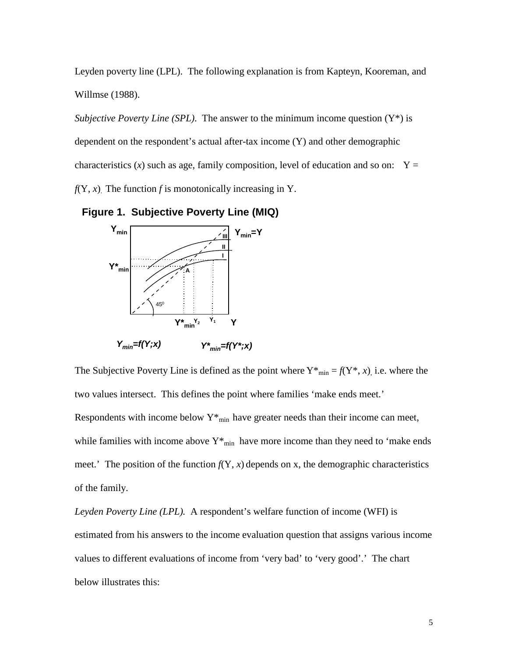Leyden poverty line (LPL). The following explanation is from Kapteyn, Kooreman, and Willmse (1988).

*Subjective Poverty Line (SPL)*. The answer to the minimum income question (Y\*) is dependent on the respondent's actual after-tax income (Y) and other demographic characteristics (*x*) such as age, family composition, level of education and so on:  $Y =$  $f(Y, x)$ . The function *f* is monotonically increasing in Y.

**Figure 1. Subjective Poverty Line (MIQ)**



The Subjective Poverty Line is defined as the point where  $Y^*_{\text{min}} = f(Y^*, x)$ , i.e. where the two values intersect. This defines the point where families 'make ends meet.' Respondents with income below  $Y^*_{min}$  have greater needs than their income can meet, while families with income above  $Y^*_{min}$  have more income than they need to 'make ends meet.' The position of the function  $f(Y, x)$  depends on x, the demographic characteristics of the family.

*Leyden Poverty Line (LPL).* A respondent's welfare function of income (WFI) is estimated from his answers to the income evaluation question that assigns various income values to different evaluations of income from 'very bad' to 'very good'.' The chart below illustrates this: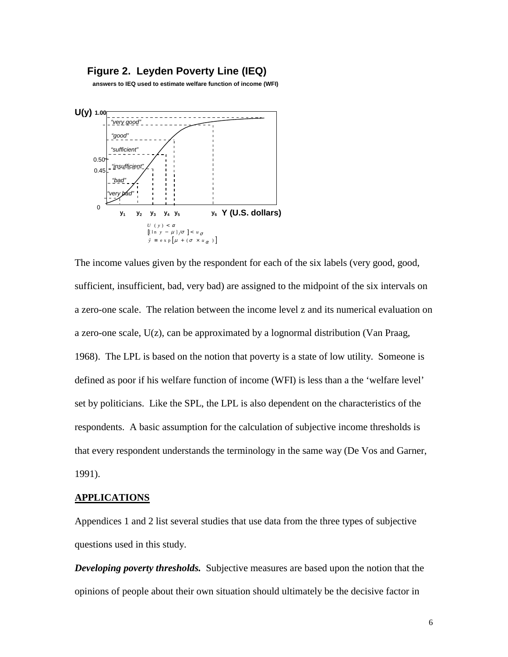## **Figure 2. Leyden Poverty Line (IEQ)**

**answers to IEQ used to estimate welfare function of income (WFI)**



The income values given by the respondent for each of the six labels (very good, good, sufficient, insufficient, bad, very bad) are assigned to the midpoint of the six intervals on a zero-one scale. The relation between the income level z and its numerical evaluation on a zero-one scale,  $U(z)$ , can be approximated by a lognormal distribution (Van Praag, 1968). The LPL is based on the notion that poverty is a state of low utility. Someone is defined as poor if his welfare function of income (WFI) is less than a the 'welfare level' set by politicians. Like the SPL, the LPL is also dependent on the characteristics of the respondents. A basic assumption for the calculation of subjective income thresholds is that every respondent understands the terminology in the same way (De Vos and Garner, 1991).

#### **APPLICATIONS**

Appendices 1 and 2 list several studies that use data from the three types of subjective questions used in this study.

*Developing poverty thresholds.* Subjective measures are based upon the notion that the opinions of people about their own situation should ultimately be the decisive factor in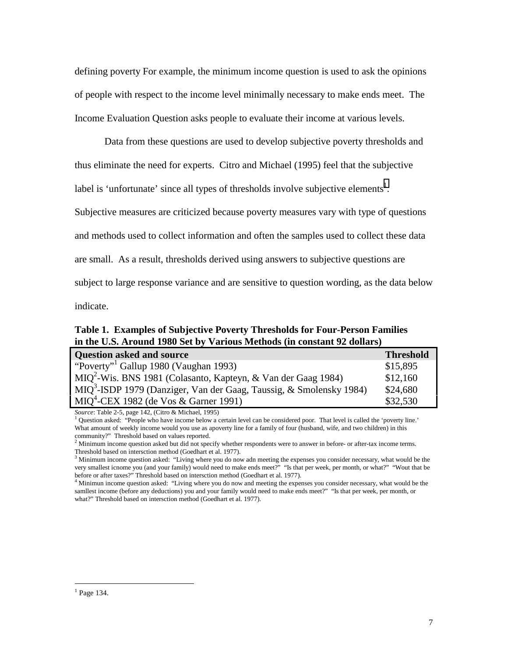defining poverty For example, the minimum income question is used to ask the opinions of people with respect to the income level minimally necessary to make ends meet. The Income Evaluation Question asks people to evaluate their income at various levels.

Data from these questions are used to develop subjective poverty thresholds and thus eliminate the need for experts. Citro and Michael (1995) feel that the subjective label is 'unfortunate' since all types of thresholds involve subjective elements<sup>1</sup>. Subjective measures are criticized because poverty measures vary with type of questions and methods used to collect information and often the samples used to collect these data are small. As a result, thresholds derived using answers to subjective questions are subject to large response variance and are sensitive to question wording, as the data below indicate.

**Table 1. Examples of Subjective Poverty Thresholds for Four-Person Families in the U.S. Around 1980 Set by Various Methods (in constant 92 dollars)**

| <b>Question asked and source</b>                                          | <b>Threshold</b> |
|---------------------------------------------------------------------------|------------------|
| "Poverty" <sup>1</sup> Gallup 1980 (Vaughan 1993)                         | \$15,895         |
| MIQ <sup>2</sup> -Wis. BNS 1981 (Colasanto, Kapteyn, & Van der Gaag 1984) | \$12,160         |
| $MIQ3$ -ISDP 1979 (Danziger, Van der Gaag, Taussig, & Smolensky 1984)     | \$24,680         |
| $MIO4$ -CEX 1982 (de Vos & Garner 1991)                                   | \$32,530         |

*Source*: Table 2-5, page 142, (Citro & Michael, 1995)

 Question asked: "People who have income below a certain level can be considered poor. That level is called the 'poverty line.' What amount of weekly income would you use as apoverty line for a family of four (husband, wife, and two children) in this community?" Threshold based on values reported.

 $3$  Minimum income question asked: "Living where you do now adn meeting the expenses you consider necessary, what would be the very smallest icnome you (and your family) would need to make ends meet?" "Is that per week, per month, or what?" "Wout that be before or after taxes?" Threshold based on intersction method (Goedhart et al. 1977).

<sup>4</sup> Minimun income question asked: "Living where you do now and meeting the expenses you consider necessary, what would be the samllest income (before any deductions) you and your family would need to make ends meet?" "Is that per week, per month, or what?" Threshold based on intersction method (Goedhart et al. 1977).

 $<sup>2</sup>$  Minimum income question asked but did not specify whether respondents were to answer in before- or after-tax income terms.</sup> Threshold based on intersction method (Goedhart et al. 1977).

 $<sup>1</sup>$  Page 134.</sup>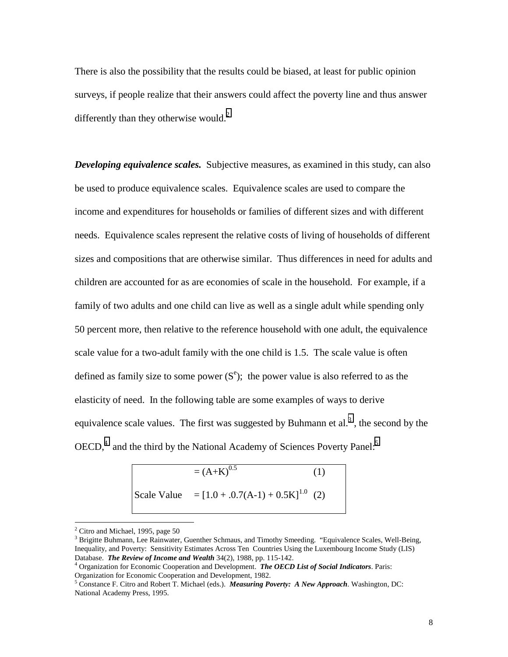There is also the possibility that the results could be biased, at least for public opinion surveys, if people realize that their answers could affect the poverty line and thus answer differently than they otherwise would. $<sup>2</sup>$ </sup>

*Developing equivalence scales.* Subjective measures, as examined in this study, can also be used to produce equivalence scales. Equivalence scales are used to compare the income and expenditures for households or families of different sizes and with different needs. Equivalence scales represent the relative costs of living of households of different sizes and compositions that are otherwise similar. Thus differences in need for adults and children are accounted for as are economies of scale in the household. For example, if a family of two adults and one child can live as well as a single adult while spending only 50 percent more, then relative to the reference household with one adult, the equivalence scale value for a two-adult family with the one child is 1.5. The scale value is often defined as family size to some power  $(S^e)$ ; the power value is also referred to as the elasticity of need. In the following table are some examples of ways to derive equivalence scale values. The first was suggested by Buhmann et al.<sup>3</sup>, the second by the  $OECD<sup>4</sup>$  and the third by the National Academy of Sciences Poverty Panel:<sup>5</sup>

$$
= (A+K)^{0.5}
$$
 (1)  
Scale Value = [1.0 + .0.7(A-1) + 0.5K]<sup>1.0</sup> (2)

 $2$  Citro and Michael, 1995, page 50

<sup>&</sup>lt;sup>3</sup> Brigitte Buhmann, Lee Rainwater, Guenther Schmaus, and Timothy Smeeding. "Equivalence Scales, Well-Being, Inequality, and Poverty: Sensitivity Estimates Across Ten Countries Using the Luxembourg Income Study (LIS) Database. *The Review of Income and Wealth* 34(2), 1988, pp. 115-142.

<sup>4</sup> Organization for Economic Cooperation and Development. *The OECD List of Social Indicators*. Paris: Organization for Economic Cooperation and Development, 1982.

<sup>5</sup> Constance F. Citro and Robert T. Michael (eds.). *Measuring Poverty: A New Approach*. Washington, DC: National Academy Press, 1995.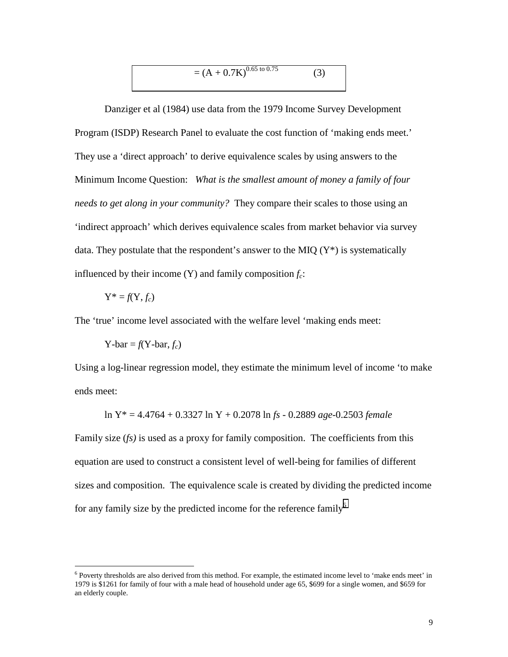$$
= (A + 0.7K)^{0.65 \text{ to } 0.75}
$$
 (3)

Danziger et al (1984) use data from the 1979 Income Survey Development Program (ISDP) Research Panel to evaluate the cost function of 'making ends meet.' They use a 'direct approach' to derive equivalence scales by using answers to the Minimum Income Question: *What is the smallest amount of money a family of four needs to get along in your community?* They compare their scales to those using an 'indirect approach' which derives equivalence scales from market behavior via survey data. They postulate that the respondent's answer to the MIQ  $(Y^*)$  is systematically influenced by their income  $(Y)$  and family composition  $f_c$ :

$$
Y^* = f(Y, f_c)
$$

 $\overline{a}$ 

The 'true' income level associated with the welfare level 'making ends meet:

$$
Y-bar = f(Y-bar, f_c)
$$

Using a log-linear regression model, they estimate the minimum level of income 'to make ends meet:

$$
\ln Y^* = 4.4764 + 0.3327 \ln Y + 0.2078 \ln fs - 0.2889 \text{ age} - 0.2503 \text{ female}
$$

Family size (*fs)* is used as a proxy for family composition. The coefficients from this equation are used to construct a consistent level of well-being for families of different sizes and composition. The equivalence scale is created by dividing the predicted income for any family size by the predicted income for the reference family<sup>6</sup>

<sup>&</sup>lt;sup>6</sup> Poverty thresholds are also derived from this method. For example, the estimated income level to 'make ends meet' in 1979 is \$1261 for family of four with a male head of household under age 65, \$699 for a single women, and \$659 for an elderly couple.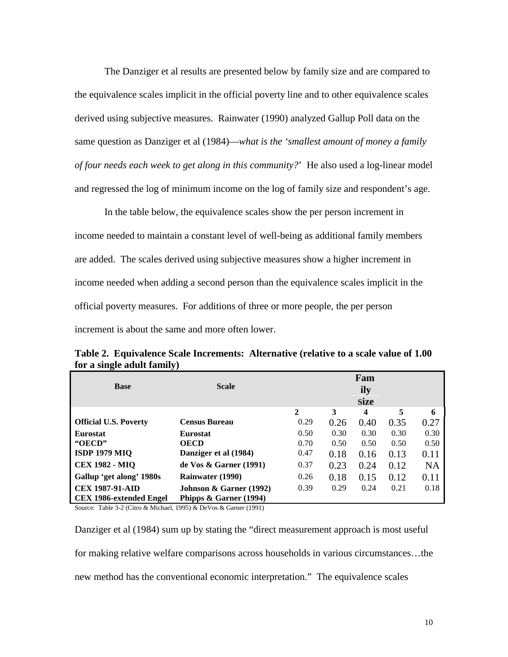The Danziger et al results are presented below by family size and are compared to the equivalence scales implicit in the official poverty line and to other equivalence scales derived using subjective measures. Rainwater (1990) analyzed Gallup Poll data on the same question as Danziger et al (1984)—*what is the 'smallest amount of money a family of four needs each week to get along in this community?*' He also used a log-linear model and regressed the log of minimum income on the log of family size and respondent's age.

In the table below, the equivalence scales show the per person increment in income needed to maintain a constant level of well-being as additional family members are added. The scales derived using subjective measures show a higher increment in income needed when adding a second person than the equivalence scales implicit in the official poverty measures. For additions of three or more people, the per person increment is about the same and more often lower.

|                                | <b>Scale</b>                         | Fam          |      |             |      |           |
|--------------------------------|--------------------------------------|--------------|------|-------------|------|-----------|
| <b>Base</b>                    |                                      |              |      | ily         |      |           |
|                                |                                      |              |      | <b>Size</b> |      |           |
|                                |                                      | $\mathbf{2}$ | 3    | 4           | 5    | 6         |
| <b>Official U.S. Poverty</b>   | <b>Census Bureau</b>                 | 0.29         | 0.26 | 0.40        | 0.35 | 0.27      |
| <b>Eurostat</b>                | <b>Eurostat</b>                      | 0.50         | 0.30 | 0.30        | 0.30 | 0.30      |
| "OECD"                         | <b>OECD</b>                          | 0.70         | 0.50 | 0.50        | 0.50 | 0.50      |
| <b>ISDP 1979 MIQ</b>           | Danziger et al (1984)                | 0.47         | 0.18 | 0.16        | 0.13 | 0.11      |
| <b>CEX 1982 - MIQ</b>          | de Vos $\&$ Garner (1991)            | 0.37         | 0.23 | 0.24        | 0.12 | <b>NA</b> |
| Gallup 'get along' 1980s       | <b>Rainwater (1990)</b>              | 0.26         | 0.18 | 0.15        | 0.12 | 0.11      |
| <b>CEX 1987-91-AID</b>         | <b>Johnson &amp; Garner</b> $(1992)$ | 0.39         | 0.29 | 0.24        | 0.21 | 0.18      |
| <b>CEX 1986-extended Engel</b> | Phipps $\&$ Garner (1994)            |              |      |             |      |           |

**Table 2. Equivalence Scale Increments: Alternative (relative to a scale value of 1.00 for a single adult family)**

Source: Table 3-2 (Citro & Michael, 1995) & DeVos & Garner (1991)

Danziger et al (1984) sum up by stating the "direct measurement approach is most useful for making relative welfare comparisons across households in various circumstances…the new method has the conventional economic interpretation." The equivalence scales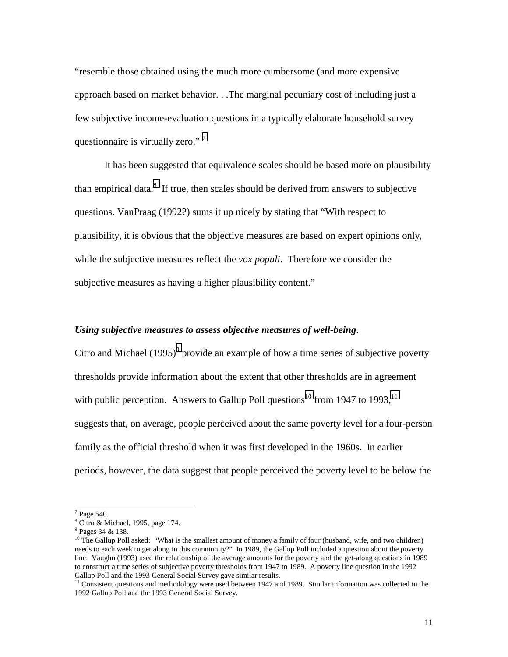"resemble those obtained using the much more cumbersome (and more expensive approach based on market behavior. . .The marginal pecuniary cost of including just a few subjective income-evaluation questions in a typically elaborate household survey questionnaire is virtually zero."<sup>7</sup>

It has been suggested that equivalence scales should be based more on plausibility than empirical data. $^{8}$  If true, then scales should be derived from answers to subjective questions. VanPraag (1992?) sums it up nicely by stating that "With respect to plausibility, it is obvious that the objective measures are based on expert opinions only, while the subjective measures reflect the *vox populi*. Therefore we consider the subjective measures as having a higher plausibility content."

### *Using subjective measures to assess objective measures of well-being*.

Citro and Michael  $(1995)^9$  provide an example of how a time series of subjective poverty thresholds provide information about the extent that other thresholds are in agreement with public perception. Answers to Gallup Poll questions<sup>10</sup> from 1947 to 1993,  $11$ suggests that, on average, people perceived about the same poverty level for a four-person family as the official threshold when it was first developed in the 1960s. In earlier periods, however, the data suggest that people perceived the poverty level to be below the

 $7$  Page 540.

 $8$  Citro & Michael, 1995, page 174.

<sup>&</sup>lt;sup>9</sup> Pages 34 & 138.

<sup>&</sup>lt;sup>10</sup> The Gallup Poll asked: "What is the smallest amount of money a family of four (husband, wife, and two children) needs to each week to get along in this community?" In 1989, the Gallup Poll included a question about the poverty line. Vaughn (1993) used the relationship of the average amounts for the poverty and the get-along questions in 1989 to construct a time series of subjective poverty thresholds from 1947 to 1989. A poverty line question in the 1992 Gallup Poll and the 1993 General Social Survey gave similar results.

<sup>&</sup>lt;sup>11</sup> Consistent questions and methodology were used between 1947 and 1989. Similar information was collected in the 1992 Gallup Poll and the 1993 General Social Survey.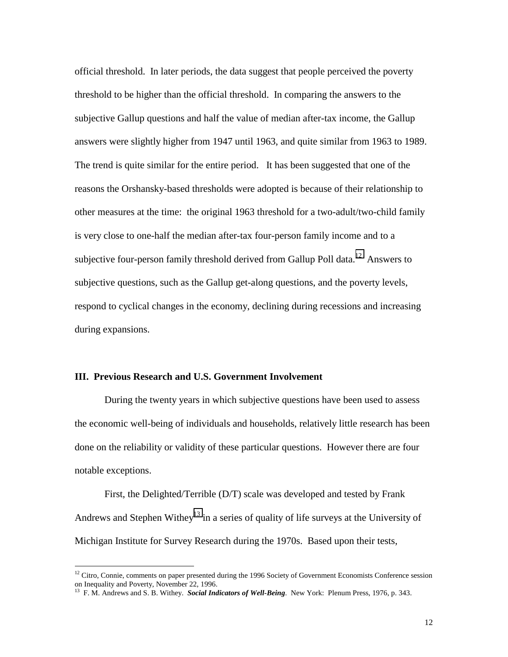official threshold. In later periods, the data suggest that people perceived the poverty threshold to be higher than the official threshold. In comparing the answers to the subjective Gallup questions and half the value of median after-tax income, the Gallup answers were slightly higher from 1947 until 1963, and quite similar from 1963 to 1989. The trend is quite similar for the entire period. It has been suggested that one of the reasons the Orshansky-based thresholds were adopted is because of their relationship to other measures at the time: the original 1963 threshold for a two-adult/two-child family is very close to one-half the median after-tax four-person family income and to a subjective four-person family threshold derived from Gallup Poll data.<sup>12</sup> Answers to subjective questions, such as the Gallup get-along questions, and the poverty levels, respond to cyclical changes in the economy, declining during recessions and increasing during expansions.

## **III. Previous Research and U.S. Government Involvement**

 $\overline{a}$ 

During the twenty years in which subjective questions have been used to assess the economic well-being of individuals and households, relatively little research has been done on the reliability or validity of these particular questions. However there are four notable exceptions.

First, the Delighted/Terrible (D/T) scale was developed and tested by Frank Andrews and Stephen Withey<sup>13</sup> in a series of quality of life surveys at the University of Michigan Institute for Survey Research during the 1970s. Based upon their tests,

<sup>&</sup>lt;sup>12</sup> Citro, Connie, comments on paper presented during the 1996 Society of Government Economists Conference session on Inequality and Poverty, November 22, 1996.

<sup>13</sup> F. M. Andrews and S. B. Withey. *Social Indicators of Well-Being*. New York: Plenum Press, 1976, p. 343.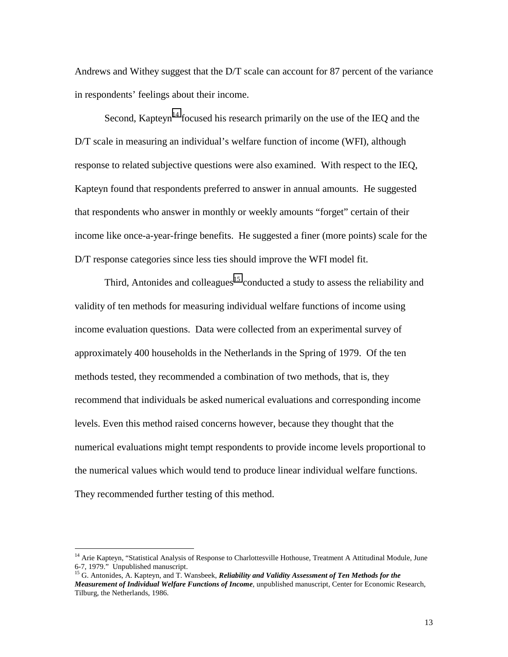Andrews and Withey suggest that the D/T scale can account for 87 percent of the variance in respondents' feelings about their income.

Second, Kapteyn<sup>14</sup> focused his research primarily on the use of the IEQ and the D/T scale in measuring an individual's welfare function of income (WFI), although response to related subjective questions were also examined. With respect to the IEQ, Kapteyn found that respondents preferred to answer in annual amounts. He suggested that respondents who answer in monthly or weekly amounts "forget" certain of their income like once-a-year-fringe benefits. He suggested a finer (more points) scale for the D/T response categories since less ties should improve the WFI model fit.

Third, Antonides and colleagues<sup>15</sup> conducted a study to assess the reliability and validity of ten methods for measuring individual welfare functions of income using income evaluation questions. Data were collected from an experimental survey of approximately 400 households in the Netherlands in the Spring of 1979. Of the ten methods tested, they recommended a combination of two methods, that is, they recommend that individuals be asked numerical evaluations and corresponding income levels. Even this method raised concerns however, because they thought that the numerical evaluations might tempt respondents to provide income levels proportional to the numerical values which would tend to produce linear individual welfare functions. They recommended further testing of this method.

<sup>&</sup>lt;sup>14</sup> Arie Kapteyn, "Statistical Analysis of Response to Charlottesville Hothouse, Treatment A Attitudinal Module, June 6-7, 1979." Unpublished manuscript.

<sup>&</sup>lt;sup>15</sup> G. Antonides, A. Kapteyn, and T. Wansbeek, *Reliability and Validity Assessment of Ten Methods for the Measurement of Individual Welfare Functions of Income*, unpublished manuscript, Center for Economic Research, Tilburg, the Netherlands, 1986.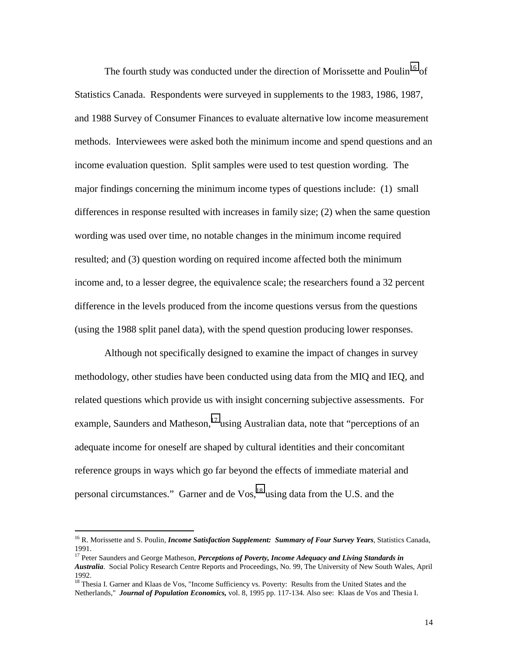The fourth study was conducted under the direction of Morissette and Poulin<sup>16</sup> of Statistics Canada. Respondents were surveyed in supplements to the 1983, 1986, 1987, and 1988 Survey of Consumer Finances to evaluate alternative low income measurement methods. Interviewees were asked both the minimum income and spend questions and an income evaluation question. Split samples were used to test question wording. The major findings concerning the minimum income types of questions include: (1) small differences in response resulted with increases in family size; (2) when the same question wording was used over time, no notable changes in the minimum income required resulted; and (3) question wording on required income affected both the minimum income and, to a lesser degree, the equivalence scale; the researchers found a 32 percent difference in the levels produced from the income questions versus from the questions (using the 1988 split panel data), with the spend question producing lower responses.

Although not specifically designed to examine the impact of changes in survey methodology, other studies have been conducted using data from the MIQ and IEQ, and related questions which provide us with insight concerning subjective assessments. For example, Saunders and Matheson,<sup>17</sup> using Australian data, note that "perceptions of an adequate income for oneself are shaped by cultural identities and their concomitant reference groups in ways which go far beyond the effects of immediate material and personal circumstances." Garner and de  $V$ os,  $^{18}$  using data from the U.S. and the

<sup>&</sup>lt;sup>16</sup> R. Morissette and S. Poulin, *Income Satisfaction Supplement: Summary of Four Survey Years*, Statistics Canada, 1991.

<sup>&</sup>lt;sup>17</sup> Peter Saunders and George Matheson, *Perceptions of Poverty, Income Adequacy and Living Standards in Australia*. Social Policy Research Centre Reports and Proceedings, No. 99, The University of New South Wales, April 1992.

<sup>&</sup>lt;sup>18</sup> Thesia I. Garner and Klaas de Vos, "Income Sufficiency vs. Poverty: Results from the United States and the Netherlands," *Journal of Population Economics,* vol. 8, 1995 pp. 117-134. Also see: Klaas de Vos and Thesia I.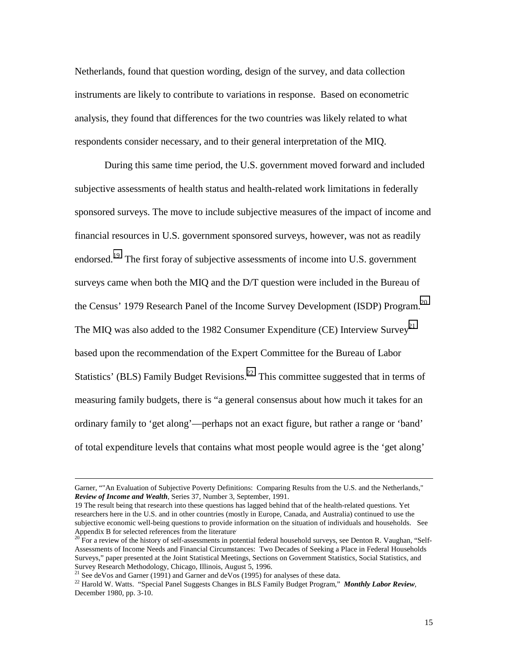Netherlands, found that question wording, design of the survey, and data collection instruments are likely to contribute to variations in response. Based on econometric analysis, they found that differences for the two countries was likely related to what respondents consider necessary, and to their general interpretation of the MIQ.

During this same time period, the U.S. government moved forward and included subjective assessments of health status and health-related work limitations in federally sponsored surveys. The move to include subjective measures of the impact of income and financial resources in U.S. government sponsored surveys, however, was not as readily endorsed.<sup>19</sup> The first foray of subjective assessments of income into U.S. government surveys came when both the MIQ and the D/T question were included in the Bureau of the Census' 1979 Research Panel of the Income Survey Development (ISDP) Program.<sup>20</sup> The MIQ was also added to the 1982 Consumer Expenditure (CE) Interview Survey<sup>21</sup> based upon the recommendation of the Expert Committee for the Bureau of Labor Statistics' (BLS) Family Budget Revisions.<sup>22</sup> This committee suggested that in terms of measuring family budgets, there is "a general consensus about how much it takes for an ordinary family to 'get along'—perhaps not an exact figure, but rather a range or 'band' of total expenditure levels that contains what most people would agree is the 'get along'

Garner, ""An Evaluation of Subjective Poverty Definitions: Comparing Results from the U.S. and the Netherlands," *Review of Income and Wealth*, Series 37, Number 3, September, 1991.

<sup>19</sup> The result being that research into these questions has lagged behind that of the health-related questions. Yet researchers here in the U.S. and in other countries (mostly in Europe, Canada, and Australia) continued to use the subjective economic well-being questions to provide information on the situation of individuals and households. See Appendix B for selected references from the literature.

 $20^{11}$  For a review of the history of self-assessments in potential federal household surveys, see Denton R. Vaughan, "Self-Assessments of Income Needs and Financial Circumstances: Two Decades of Seeking a Place in Federal Households Surveys," paper presented at the Joint Statistical Meetings, Sections on Government Statistics, Social Statistics, and Survey Research Methodology, Chicago, Illinois, August 5, 1996.

<sup>&</sup>lt;sup>21</sup> See deVos and Garner (1991) and Garner and deVos (1995) for analyses of these data.

<sup>22</sup> Harold W. Watts. "Special Panel Suggests Changes in BLS Family Budget Program," *Monthly Labor Review*, December 1980, pp. 3-10.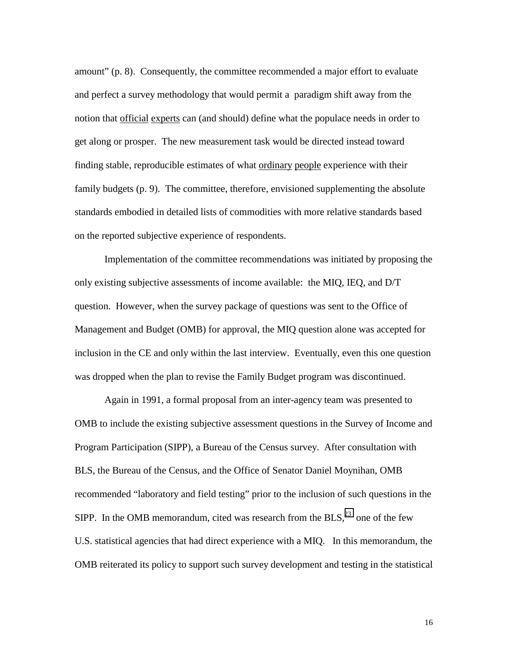amount" (p. 8). Consequently, the committee recommended a major effort to evaluate and perfect a survey methodology that would permit a paradigm shift away from the notion that official experts can (and should) define what the populace needs in order to get along or prosper. The new measurement task would be directed instead toward finding stable, reproducible estimates of what ordinary people experience with their family budgets (p. 9). The committee, therefore, envisioned supplementing the absolute standards embodied in detailed lists of commodities with more relative standards based on the reported subjective experience of respondents.

Implementation of the committee recommendations was initiated by proposing the only existing subjective assessments of income available: the MIQ, IEQ, and D/T question. However, when the survey package of questions was sent to the Office of Management and Budget (OMB) for approval, the MIQ question alone was accepted for inclusion in the CE and only within the last interview. Eventually, even this one question was dropped when the plan to revise the Family Budget program was discontinued.

Again in 1991, a formal proposal from an inter-agency team was presented to OMB to include the existing subjective assessment questions in the Survey of Income and Program Participation (SIPP), a Bureau of the Census survey. After consultation with BLS, the Bureau of the Census, and the Office of Senator Daniel Moynihan, OMB recommended "laboratory and field testing" prior to the inclusion of such questions in the SIPP. In the OMB memorandum, cited was research from the  $BLS<sub>1</sub><sup>23</sup>$  one of the few U.S. statistical agencies that had direct experience with a MIQ. In this memorandum, the OMB reiterated its policy to support such survey development and testing in the statistical

16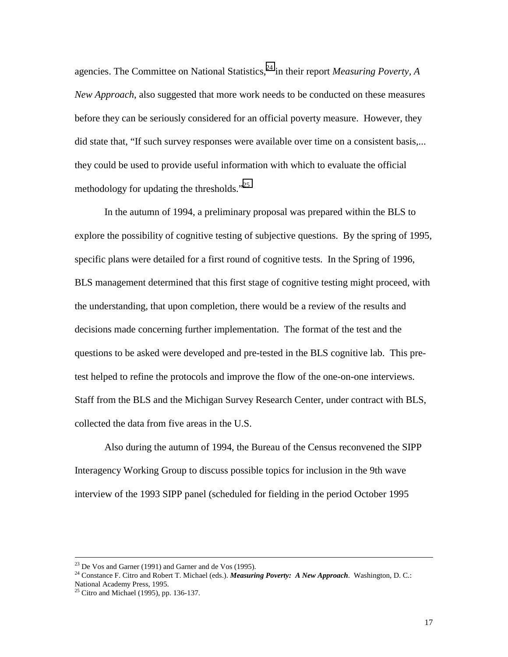agencies. The Committee on National Statistics,<sup>24</sup> in their report *Measuring Poverty*, A *New Approach*, also suggested that more work needs to be conducted on these measures before they can be seriously considered for an official poverty measure. However, they did state that, "If such survey responses were available over time on a consistent basis,... they could be used to provide useful information with which to evaluate the official methodology for updating the thresholds."<sup>25</sup>

In the autumn of 1994, a preliminary proposal was prepared within the BLS to explore the possibility of cognitive testing of subjective questions. By the spring of 1995, specific plans were detailed for a first round of cognitive tests. In the Spring of 1996, BLS management determined that this first stage of cognitive testing might proceed, with the understanding, that upon completion, there would be a review of the results and decisions made concerning further implementation. The format of the test and the questions to be asked were developed and pre-tested in the BLS cognitive lab. This pretest helped to refine the protocols and improve the flow of the one-on-one interviews. Staff from the BLS and the Michigan Survey Research Center, under contract with BLS, collected the data from five areas in the U.S.

Also during the autumn of 1994, the Bureau of the Census reconvened the SIPP Interagency Working Group to discuss possible topics for inclusion in the 9th wave interview of the 1993 SIPP panel (scheduled for fielding in the period October 1995

 <sup>23</sup> De Vos and Garner (1991) and Garner and de Vos (1995).

<sup>24</sup> Constance F. Citro and Robert T. Michael (eds.). *Measuring Poverty: A New Approach*. Washington, D. C.: National Academy Press, 1995.

<sup>25</sup> Citro and Michael (1995), pp. 136-137.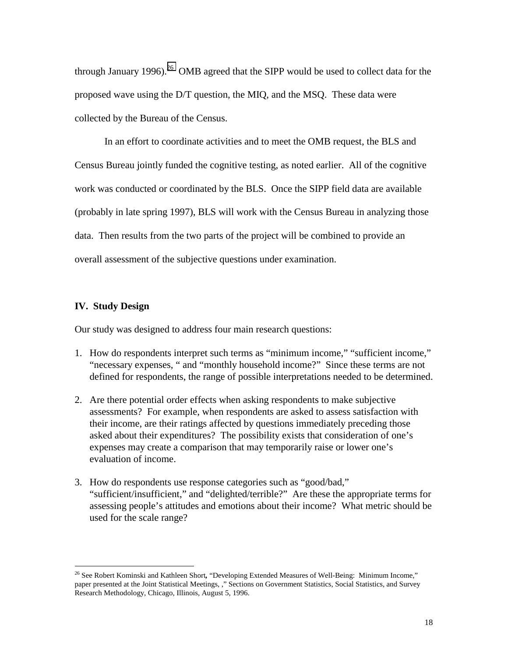through January 1996).<sup>26</sup> OMB agreed that the SIPP would be used to collect data for the proposed wave using the D/T question, the MIQ, and the MSQ. These data were collected by the Bureau of the Census.

In an effort to coordinate activities and to meet the OMB request, the BLS and Census Bureau jointly funded the cognitive testing, as noted earlier. All of the cognitive work was conducted or coordinated by the BLS. Once the SIPP field data are available (probably in late spring 1997), BLS will work with the Census Bureau in analyzing those data. Then results from the two parts of the project will be combined to provide an overall assessment of the subjective questions under examination.

## **IV. Study Design**

 $\overline{a}$ 

Our study was designed to address four main research questions:

- 1. How do respondents interpret such terms as "minimum income," "sufficient income," "necessary expenses, " and "monthly household income?" Since these terms are not defined for respondents, the range of possible interpretations needed to be determined.
- 2. Are there potential order effects when asking respondents to make subjective assessments? For example, when respondents are asked to assess satisfaction with their income, are their ratings affected by questions immediately preceding those asked about their expenditures? The possibility exists that consideration of one's expenses may create a comparison that may temporarily raise or lower one's evaluation of income.
- 3. How do respondents use response categories such as "good/bad," "sufficient/insufficient," and "delighted/terrible?" Are these the appropriate terms for assessing people's attitudes and emotions about their income? What metric should be used for the scale range?

<sup>&</sup>lt;sup>26</sup> See Robert Kominski and Kathleen Short, "Developing Extended Measures of Well-Being: Minimum Income," paper presented at the Joint Statistical Meetings, ," Sections on Government Statistics, Social Statistics, and Survey Research Methodology, Chicago, Illinois, August 5, 1996.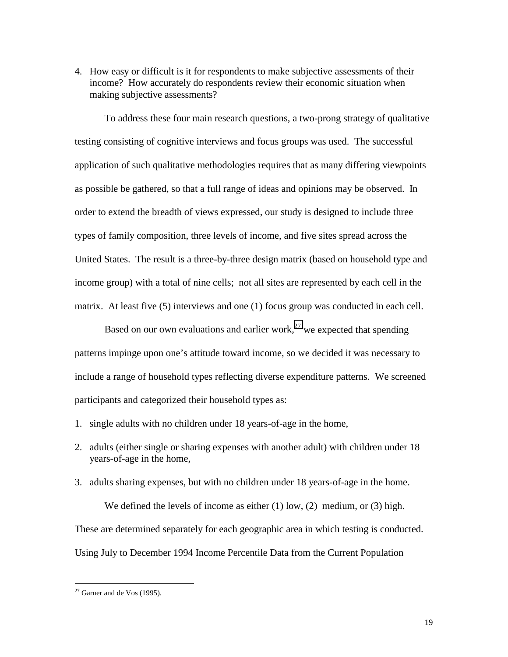4. How easy or difficult is it for respondents to make subjective assessments of their income? How accurately do respondents review their economic situation when making subjective assessments?

To address these four main research questions, a two-prong strategy of qualitative testing consisting of cognitive interviews and focus groups was used. The successful application of such qualitative methodologies requires that as many differing viewpoints as possible be gathered, so that a full range of ideas and opinions may be observed. In order to extend the breadth of views expressed, our study is designed to include three types of family composition, three levels of income, and five sites spread across the United States. The result is a three-by-three design matrix (based on household type and income group) with a total of nine cells; not all sites are represented by each cell in the matrix. At least five (5) interviews and one (1) focus group was conducted in each cell.

Based on our own evaluations and earlier work,<sup>27</sup> we expected that spending patterns impinge upon one's attitude toward income, so we decided it was necessary to include a range of household types reflecting diverse expenditure patterns. We screened participants and categorized their household types as:

- 1. single adults with no children under 18 years-of-age in the home,
- 2. adults (either single or sharing expenses with another adult) with children under 18 years-of-age in the home,
- 3. adults sharing expenses, but with no children under 18 years-of-age in the home.

We defined the levels of income as either  $(1)$  low,  $(2)$  medium, or  $(3)$  high. These are determined separately for each geographic area in which testing is conducted. Using July to December 1994 Income Percentile Data from the Current Population

 $27$  Garner and de Vos (1995).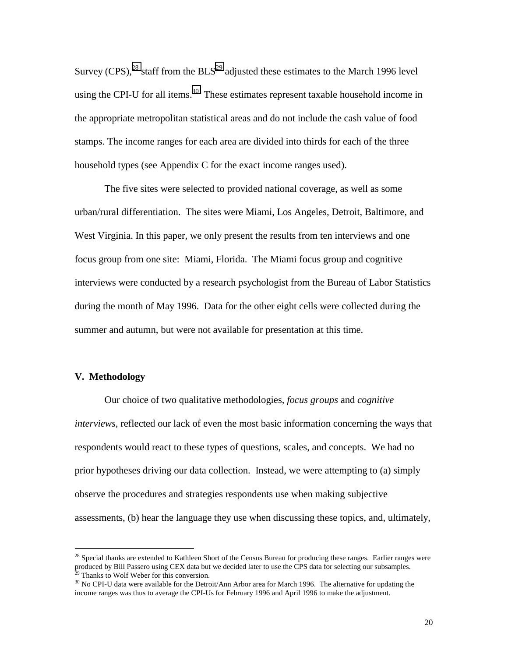Survey  $(CPS)$ ,<sup>28</sup> staff from the  $BLS<sup>29</sup>$  adjusted these estimates to the March 1996 level using the CPI-U for all items.<sup>30</sup> These estimates represent taxable household income in the appropriate metropolitan statistical areas and do not include the cash value of food stamps. The income ranges for each area are divided into thirds for each of the three household types (see Appendix C for the exact income ranges used).

The five sites were selected to provided national coverage, as well as some urban/rural differentiation. The sites were Miami, Los Angeles, Detroit, Baltimore, and West Virginia. In this paper, we only present the results from ten interviews and one focus group from one site: Miami, Florida. The Miami focus group and cognitive interviews were conducted by a research psychologist from the Bureau of Labor Statistics during the month of May 1996. Data for the other eight cells were collected during the summer and autumn, but were not available for presentation at this time.

#### **V. Methodology**

 $\overline{a}$ 

Our choice of two qualitative methodologies, *focus groups* and *cognitive interviews*, reflected our lack of even the most basic information concerning the ways that respondents would react to these types of questions, scales, and concepts. We had no prior hypotheses driving our data collection. Instead, we were attempting to (a) simply observe the procedures and strategies respondents use when making subjective assessments, (b) hear the language they use when discussing these topics, and, ultimately,

<sup>&</sup>lt;sup>28</sup> Special thanks are extended to Kathleen Short of the Census Bureau for producing these ranges. Earlier ranges were produced by Bill Passero using CEX data but we decided later to use the CPS data for selecting our subsamples. <sup>29</sup> Thanks to Wolf Weber for this conversion.

<sup>&</sup>lt;sup>30</sup> No CPI-U data were available for the Detroit/Ann Arbor area for March 1996. The alternative for updating the income ranges was thus to average the CPI-Us for February 1996 and April 1996 to make the adjustment.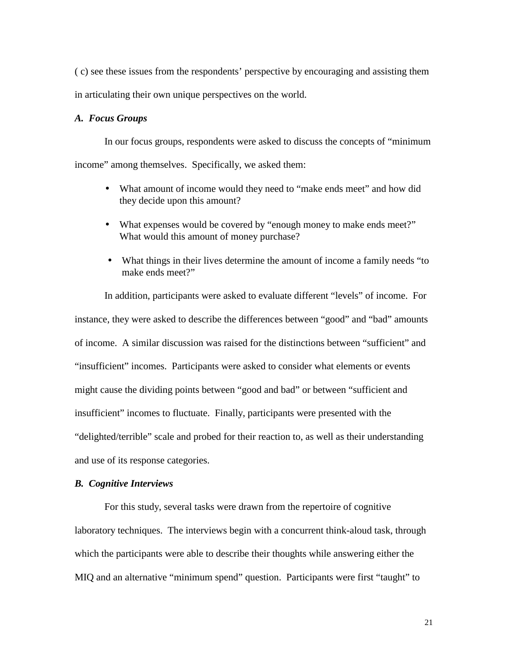( c) see these issues from the respondents' perspective by encouraging and assisting them in articulating their own unique perspectives on the world.

### *A. Focus Groups*

In our focus groups, respondents were asked to discuss the concepts of "minimum income" among themselves. Specifically, we asked them:

- What amount of income would they need to "make ends meet" and how did they decide upon this amount?
- What expenses would be covered by "enough money to make ends meet?" What would this amount of money purchase?
- What things in their lives determine the amount of income a family needs "to" make ends meet?"

In addition, participants were asked to evaluate different "levels" of income. For instance, they were asked to describe the differences between "good" and "bad" amounts of income. A similar discussion was raised for the distinctions between "sufficient" and "insufficient" incomes. Participants were asked to consider what elements or events might cause the dividing points between "good and bad" or between "sufficient and insufficient" incomes to fluctuate. Finally, participants were presented with the "delighted/terrible" scale and probed for their reaction to, as well as their understanding and use of its response categories.

#### *B. Cognitive Interviews*

For this study, several tasks were drawn from the repertoire of cognitive laboratory techniques. The interviews begin with a concurrent think-aloud task, through which the participants were able to describe their thoughts while answering either the MIQ and an alternative "minimum spend" question. Participants were first "taught" to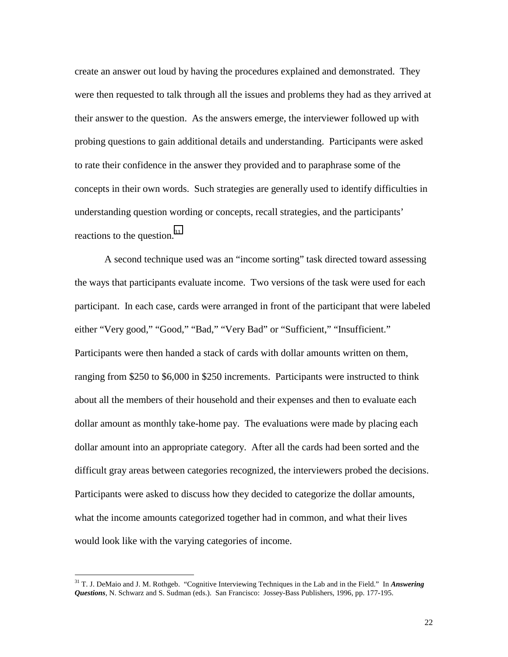create an answer out loud by having the procedures explained and demonstrated. They were then requested to talk through all the issues and problems they had as they arrived at their answer to the question. As the answers emerge, the interviewer followed up with probing questions to gain additional details and understanding. Participants were asked to rate their confidence in the answer they provided and to paraphrase some of the concepts in their own words. Such strategies are generally used to identify difficulties in understanding question wording or concepts, recall strategies, and the participants' reactions to the question. $31$ 

A second technique used was an "income sorting" task directed toward assessing the ways that participants evaluate income. Two versions of the task were used for each participant. In each case, cards were arranged in front of the participant that were labeled either "Very good," "Good," "Bad," "Very Bad" or "Sufficient," "Insufficient." Participants were then handed a stack of cards with dollar amounts written on them, ranging from \$250 to \$6,000 in \$250 increments. Participants were instructed to think about all the members of their household and their expenses and then to evaluate each dollar amount as monthly take-home pay. The evaluations were made by placing each dollar amount into an appropriate category. After all the cards had been sorted and the difficult gray areas between categories recognized, the interviewers probed the decisions. Participants were asked to discuss how they decided to categorize the dollar amounts, what the income amounts categorized together had in common, and what their lives would look like with the varying categories of income.

<sup>31</sup> T. J. DeMaio and J. M. Rothgeb. "Cognitive Interviewing Techniques in the Lab and in the Field." In *Answering Questions*, N. Schwarz and S. Sudman (eds.). San Francisco: Jossey-Bass Publishers, 1996, pp. 177-195.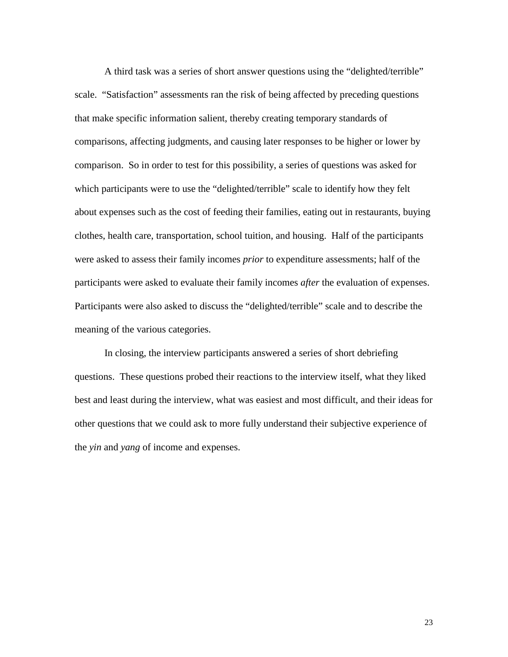A third task was a series of short answer questions using the "delighted/terrible" scale. "Satisfaction" assessments ran the risk of being affected by preceding questions that make specific information salient, thereby creating temporary standards of comparisons, affecting judgments, and causing later responses to be higher or lower by comparison. So in order to test for this possibility, a series of questions was asked for which participants were to use the "delighted/terrible" scale to identify how they felt about expenses such as the cost of feeding their families, eating out in restaurants, buying clothes, health care, transportation, school tuition, and housing. Half of the participants were asked to assess their family incomes *prior* to expenditure assessments; half of the participants were asked to evaluate their family incomes *after* the evaluation of expenses. Participants were also asked to discuss the "delighted/terrible" scale and to describe the meaning of the various categories.

In closing, the interview participants answered a series of short debriefing questions. These questions probed their reactions to the interview itself, what they liked best and least during the interview, what was easiest and most difficult, and their ideas for other questions that we could ask to more fully understand their subjective experience of the *yin* and *yang* of income and expenses.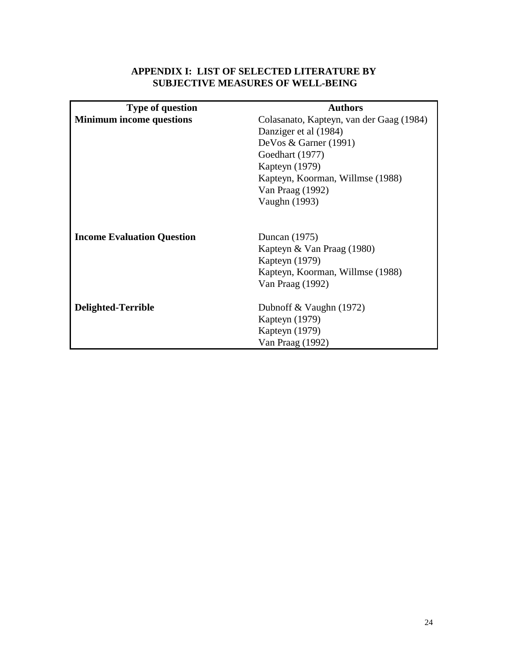## **APPENDIX I: LIST OF SELECTED LITERATURE BY SUBJECTIVE MEASURES OF WELL-BEING**

| <b>Type of question</b>           | <b>Authors</b>                                                |  |  |
|-----------------------------------|---------------------------------------------------------------|--|--|
| <b>Minimum income questions</b>   | Colasanato, Kapteyn, van der Gaag (1984)                      |  |  |
|                                   | Danziger et al (1984)                                         |  |  |
|                                   | DeVos & Garner (1991)                                         |  |  |
|                                   | Goedhart (1977)                                               |  |  |
|                                   | Kapteyn (1979)                                                |  |  |
|                                   | Kapteyn, Koorman, Willmse (1988)                              |  |  |
|                                   | Van Praag (1992)                                              |  |  |
|                                   | Vaughn (1993)                                                 |  |  |
| <b>Income Evaluation Question</b> | Duncan (1975)<br>Kapteyn & Van Praag (1980)<br>Kapteyn (1979) |  |  |
|                                   | Kapteyn, Koorman, Willmse (1988)                              |  |  |
|                                   | Van Praag (1992)                                              |  |  |
| Delighted-Terrible                | Dubnoff & Vaughn $(1972)$<br>Kapteyn (1979)                   |  |  |
|                                   | Kapteyn (1979)                                                |  |  |
|                                   | Van Praag (1992)                                              |  |  |
|                                   |                                                               |  |  |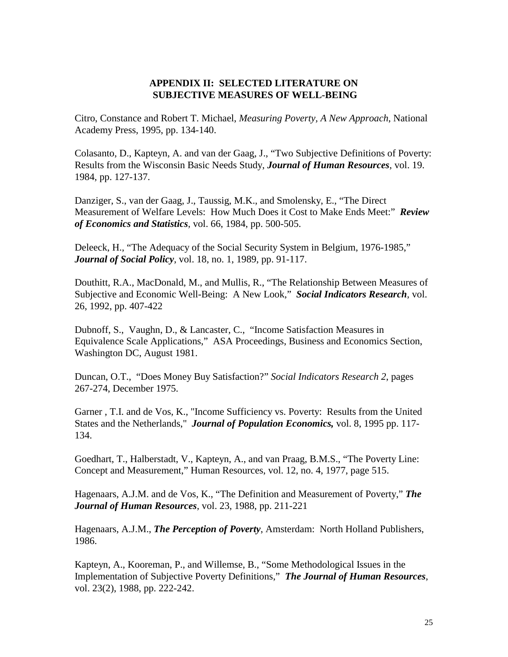## **APPENDIX II: SELECTED LITERATURE ON SUBJECTIVE MEASURES OF WELL-BEING**

Citro, Constance and Robert T. Michael, *Measuring Poverty, A New Approach*, National Academy Press, 1995, pp. 134-140.

Colasanto, D., Kapteyn, A. and van der Gaag, J., "Two Subjective Definitions of Poverty: Results from the Wisconsin Basic Needs Study, *Journal of Human Resources*, vol. 19. 1984, pp. 127-137.

Danziger, S., van der Gaag, J., Taussig, M.K., and Smolensky, E., "The Direct Measurement of Welfare Levels: How Much Does it Cost to Make Ends Meet:" *Review of Economics and Statistics*, vol. 66, 1984, pp. 500-505.

Deleeck, H., "The Adequacy of the Social Security System in Belgium, 1976-1985," *Journal of Social Policy*, vol. 18, no. 1, 1989, pp. 91-117.

Douthitt, R.A., MacDonald, M., and Mullis, R., "The Relationship Between Measures of Subjective and Economic Well-Being: A New Look," *Social Indicators Research*, vol. 26, 1992, pp. 407-422

Dubnoff, S., Vaughn, D., & Lancaster, C., "Income Satisfaction Measures in Equivalence Scale Applications," ASA Proceedings, Business and Economics Section, Washington DC, August 1981.

Duncan, O.T., "Does Money Buy Satisfaction?" *Social Indicators Research 2*, pages 267-274, December 1975.

Garner , T.I. and de Vos, K., "Income Sufficiency vs. Poverty: Results from the United States and the Netherlands," *Journal of Population Economics,* vol. 8, 1995 pp. 117- 134.

Goedhart, T., Halberstadt, V., Kapteyn, A., and van Praag, B.M.S., "The Poverty Line: Concept and Measurement," Human Resources, vol. 12, no. 4, 1977, page 515.

Hagenaars, A.J.M. and de Vos, K., "The Definition and Measurement of Poverty," *The Journal of Human Resources*, vol. 23, 1988, pp. 211-221

Hagenaars, A.J.M., *The Perception of Poverty*, Amsterdam: North Holland Publishers, 1986.

Kapteyn, A., Kooreman, P., and Willemse, B., "Some Methodological Issues in the Implementation of Subjective Poverty Definitions," *The Journal of Human Resources*, vol. 23(2), 1988, pp. 222-242.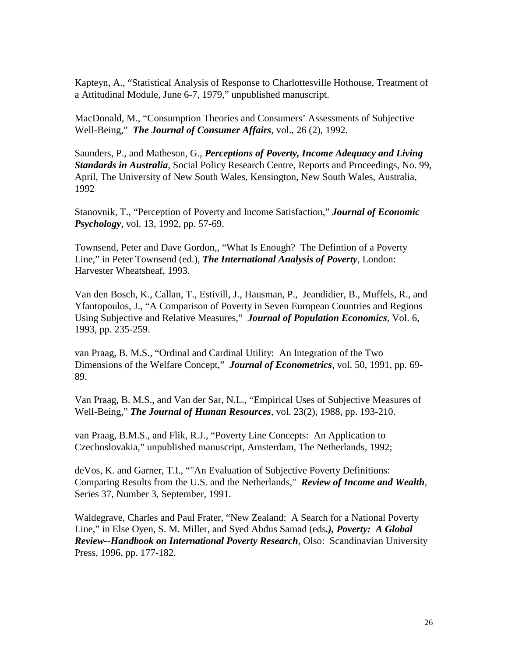Kapteyn, A., "Statistical Analysis of Response to Charlottesville Hothouse, Treatment of a Attitudinal Module, June 6-7, 1979," unpublished manuscript.

MacDonald, M., "Consumption Theories and Consumers' Assessments of Subjective Well-Being," *The Journal of Consumer Affairs*, vol., 26 (2), 1992.

Saunders, P., and Matheson, G., *Perceptions of Poverty, Income Adequacy and Living Standards in Australia*, Social Policy Research Centre, Reports and Proceedings, No. 99, April, The University of New South Wales, Kensington, New South Wales, Australia, 1992

Stanovnik, T., "Perception of Poverty and Income Satisfaction," *Journal of Economic Psychology*, vol. 13, 1992, pp. 57-69.

Townsend, Peter and Dave Gordon,, "What Is Enough? The Defintion of a Poverty Line," in Peter Townsend (ed.), *The International Analysis of Poverty*, London: Harvester Wheatsheaf, 1993.

Van den Bosch, K., Callan, T., Estivill, J., Hausman, P., Jeandidier, B., Muffels, R., and Yfantopoulos, J., "A Comparison of Poverty in Seven European Countries and Regions Using Subjective and Relative Measures," *Journal of Population Economics*, Vol. 6, 1993, pp. 235-259.

van Praag, B. M.S., "Ordinal and Cardinal Utility: An Integration of the Two Dimensions of the Welfare Concept," *Journal of Econometrics*, vol. 50, 1991, pp. 69- 89.

Van Praag, B. M.S., and Van der Sar, N.L., "Empirical Uses of Subjective Measures of Well-Being," *The Journal of Human Resources*, vol. 23(2), 1988, pp. 193-210.

van Praag, B.M.S., and Flik, R.J., "Poverty Line Concepts: An Application to Czechoslovakia," unpublished manuscript, Amsterdam, The Netherlands, 1992;

deVos, K. and Garner, T.I., ""An Evaluation of Subjective Poverty Definitions: Comparing Results from the U.S. and the Netherlands," *Review of Income and Wealth*, Series 37, Number 3, September, 1991.

Waldegrave, Charles and Paul Frater, "New Zealand: A Search for a National Poverty Line," in Else Oyen, S. M. Miller, and Syed Abdus Samad (eds*.), Poverty: A Global Review--Handbook on International Poverty Research*, Olso: Scandinavian University Press, 1996, pp. 177-182.